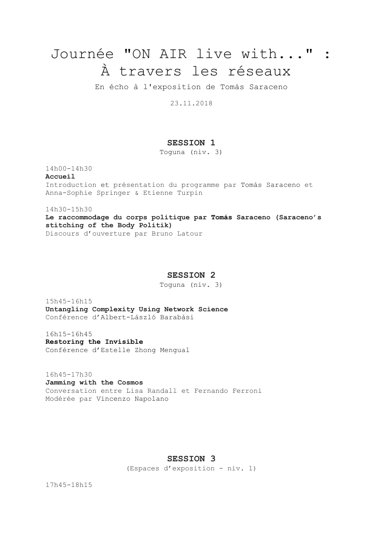# Journée "ON AIR live with..." : À travers les réseaux

En écho à l'exposition de Tomás Saraceno

23.11.2018

# **SESSION 1**

Toguna (niv. 3)

14h00-14h30 **Accueil** Introduction et présentation du programme par Tomás Saraceno et Anna-Sophie Springer & Etienne Turpin

14h30-15h30

**Le raccommodage du corps politique par Tomás Saraceno (Saraceno's stitching of the Body Politik)**  Discours d'ouverture par Bruno Latour

# **SESSION 2**

Toguna (niv. 3)

15h45-16h15 **Untangling Complexity Using Network Science** Conférence d'Albert-László Barabási

16h15-16h45 **Restoring the Invisible** Conférence d'Estelle Zhong Mengual

16h45-17h30 **Jamming with the Cosmos** Conversation entre Lisa Randall et Fernando Ferroni Modérée par Vincenzo Napolano

# **SESSION 3**

(Espaces d'exposition - niv. 1)

17h45-18h15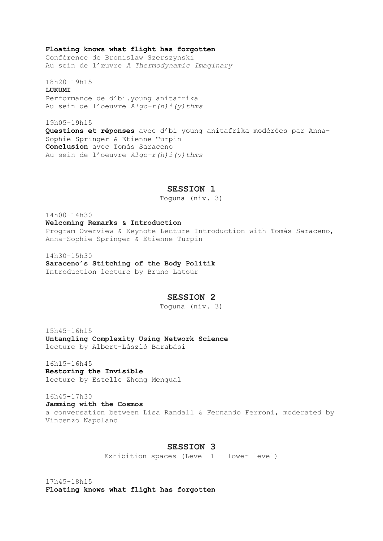#### **Floating knows what flight has forgotten**

Conférence de Bronislaw Szerszynski Au sein de l'œuvre *A Thermodynamic Imaginary* 

18h20-19h15 **LUKUMI** Performance de d'bi.young anitafrika Au sein de l'oeuvre *Algo-r(h)i(y)thms* 

19h05-19h15 **Questions et réponses** avec d'bi young anitafrika modérées par Anna-Sophie Springer & Etienne Turpin **Conclusion** avec Tomás Saraceno Au sein de l'oeuvre *Algo-r(h)i(y)thms* 

### **SESSION 1**

Toguna (niv. 3)

14h00-14h30 **Welcoming Remarks & Introduction** Program Overview & Keynote Lecture Introduction with Tomás Saraceno, Anna-Sophie Springer & Etienne Turpin

14h30-15h30 **Saraceno's Stitching of the Body Politik** Introduction lecture by Bruno Latour

## **SESSION 2**

Toguna (niv. 3)

15h45-16h15 **Untangling Complexity Using Network Science** lecture by Albert-László Barabási

16h15-16h45 **Restoring the Invisible**  lecture by Estelle Zhong Mengual

16h45-17h30 **Jamming with the Cosmos** a conversation between Lisa Randall & Fernando Ferroni, moderated by Vincenzo Napolano

# **SESSION 3**

Exhibition spaces (Level 1 - lower level)

17h45-18h15 **Floating knows what flight has forgotten**